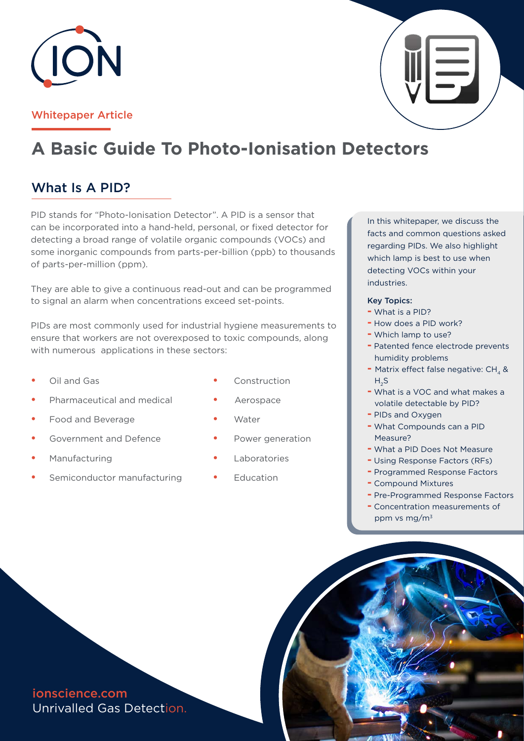

### Whitepaper Article

# **A Basic Guide To Photo-Ionisation Detectors**

## What Is A PID?

PID stands for "Photo-Ionisation Detector". A PID is a sensor that can be incorporated into a hand-held, personal, or fixed detector for detecting a broad range of volatile organic compounds (VOCs) and some inorganic compounds from parts-per-billion (ppb) to thousands of parts-per-million (ppm).

They are able to give a continuous read-out and can be programmed to signal an alarm when concentrations exceed set-points.

PIDs are most commonly used for industrial hygiene measurements to ensure that workers are not overexposed to toxic compounds, along with numerous applications in these sectors:

- **•** Oil and Gas
- **•** Pharmaceutical and medical
- **•** Food and Beverage
- **•** Government and Defence
- **•** Manufacturing
- **•** Semiconductor manufacturing
- Construction
- Aerospace
- **•** Water
- **•** Power generation
- **•** Laboratories
- **•** Education

In this whitepaper, we discuss the facts and common questions asked regarding PIDs. We also highlight which lamp is best to use when detecting VOCs within your industries.

#### Key Topics:

- **-** What is a PID?
- **-** How does a PID work?
- **-** Which lamp to use?
- **-** Patented fence electrode prevents humidity problems
- **-** Matrix effect false negative: CH<sub>4</sub> &  $H<sub>2</sub>S$
- **-** What is a VOC and what makes a volatile detectable by PID?
- **-** PIDs and Oxygen
- **-** What Compounds can a PID Measure?
- **-** What a PID Does Not Measure
- **-** Using Response Factors (RFs)
- **-** Programmed Response Factors
- **-** Compound Mixtures
- **-** Pre-Programmed Response Factors
- **-** Concentration measurements of ppm vs mg/m3

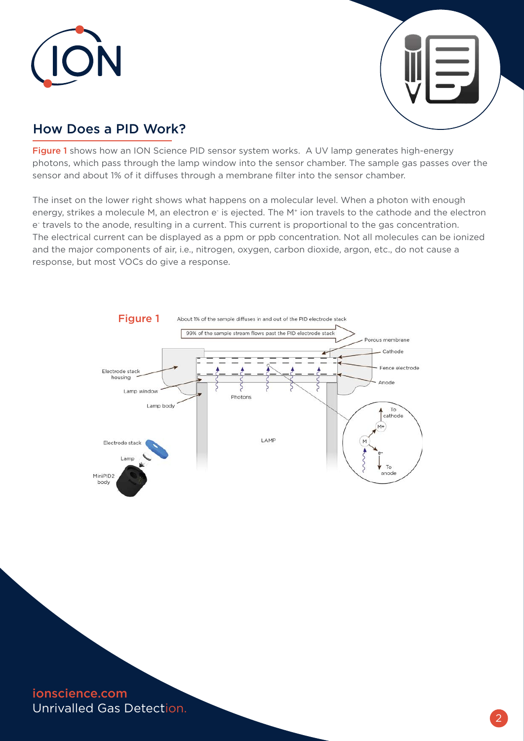



## How Does a PID Work?

Figure 1 shows how an ION Science PID sensor system works. A UV lamp generates high-energy photons, which pass through the lamp window into the sensor chamber. The sample gas passes over the sensor and about 1% of it diffuses through a membrane filter into the sensor chamber.

The inset on the lower right shows what happens on a molecular level. When a photon with enough energy, strikes a molecule M, an electron e is ejected. The M<sup>+</sup> ion travels to the cathode and the electron e- travels to the anode, resulting in a current. This current is proportional to the gas concentration. The electrical current can be displayed as a ppm or ppb concentration. Not all molecules can be ionized and the major components of air, i.e., nitrogen, oxygen, carbon dioxide, argon, etc., do not cause a response, but most VOCs do give a response.



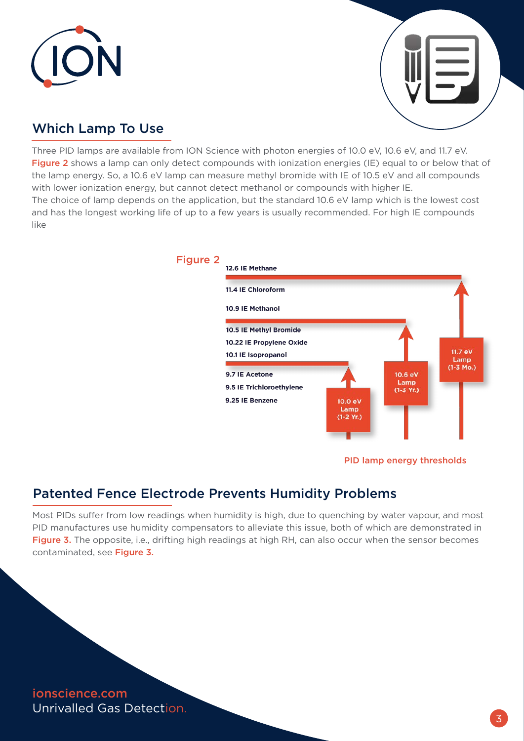



## Which Lamp To Use

Three PID lamps are available from ION Science with photon energies of 10.0 eV, 10.6 eV, and 11.7 eV. Figure 2 shows a lamp can only detect compounds with ionization energies (IE) equal to or below that of the lamp energy. So, a 10.6 eV lamp can measure methyl bromide with IE of 10.5 eV and all compounds with lower ionization energy, but cannot detect methanol or compounds with higher IE. The choice of lamp depends on the application, but the standard 10.6 eV lamp which is the lowest cost and has the longest working life of up to a few years is usually recommended. For high IE compounds like



#### PID lamp energy thresholds

## Patented Fence Electrode Prevents Humidity Problems

Most PIDs suffer from low readings when humidity is high, due to quenching by water vapour, and most PID manufactures use humidity compensators to alleviate this issue, both of which are demonstrated in Figure 3. The opposite, i.e., drifting high readings at high RH, can also occur when the sensor becomes contaminated, see Figure 3.

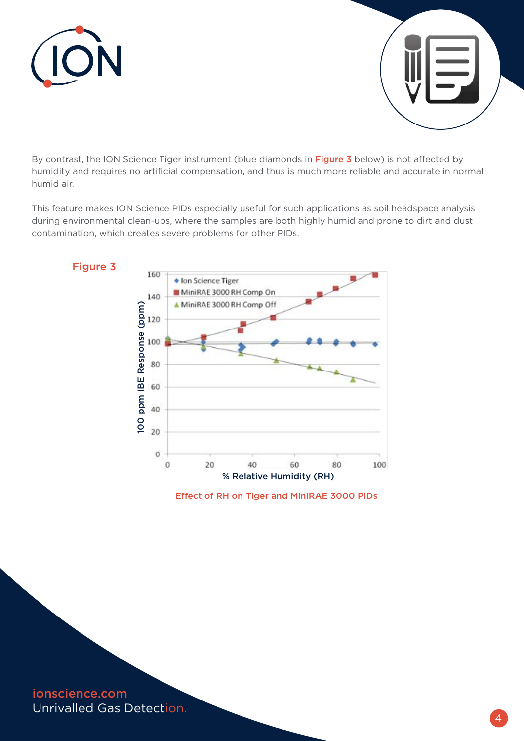



By contrast, the ION Science Tiger instrument (blue diamonds in Figure 3 below) is not affected by humidity and requires no artificial compensation, and thus is much more reliable and accurate in normal humid air.

This feature makes ION Science PIDs especially useful for such applications as soil headspace analysis during environmental clean-ups, where the samples are both highly humid and prone to dirt and dust contamination, which creates severe problems for other PIDs.



Effect of RH on Tiger and MiniRAE 3000 PIDs

ionscience.com Unrivalled Gas Detection.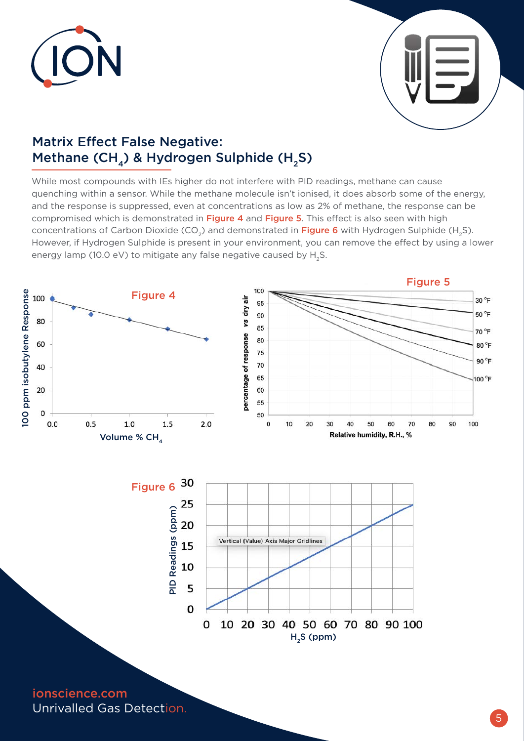



## Matrix Effect False Negative: Methane (CH<sub>4</sub>) & Hydrogen Sulphide (H<sub>2</sub>S)

While most compounds with IEs higher do not interfere with PID readings, methane can cause quenching within a sensor. While the methane molecule isn't ionised, it does absorb some of the energy, and the response is suppressed, even at concentrations as low as 2% of methane, the response can be compromised which is demonstrated in Figure 4 and Figure 5. This effect is also seen with high concentrations of Carbon Dioxide (CO<sub>2</sub>) and demonstrated in Figure 6 with Hydrogen Sulphide (H<sub>2</sub>S). However, if Hydrogen Sulphide is present in your environment, you can remove the effect by using a lower energy lamp (10.0 eV) to mitigate any false negative caused by H<sub>2</sub>S.

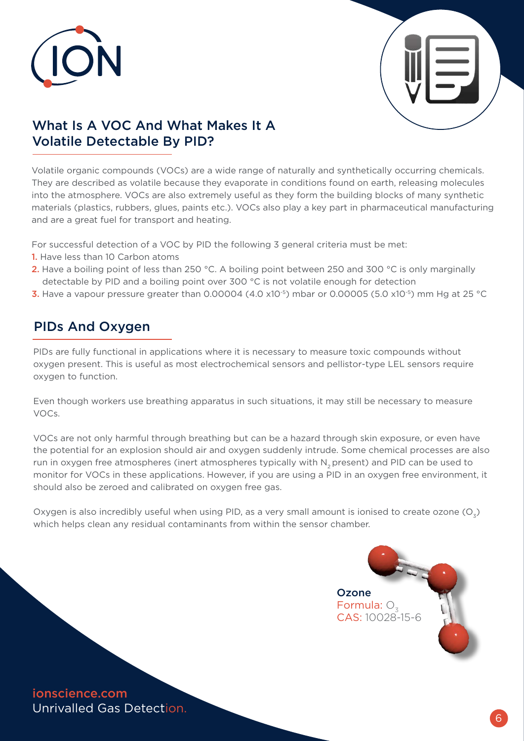



## What Is A VOC And What Makes It A Volatile Detectable By PID?

Volatile organic compounds (VOCs) are a wide range of naturally and synthetically occurring chemicals. They are described as volatile because they evaporate in conditions found on earth, releasing molecules into the atmosphere. VOCs are also extremely useful as they form the building blocks of many synthetic materials (plastics, rubbers, glues, paints etc.). VOCs also play a key part in pharmaceutical manufacturing and are a great fuel for transport and heating.

For successful detection of a VOC by PID the following 3 general criteria must be met:

- 1. Have less than 10 Carbon atoms
- 2. Have a boiling point of less than 250 °C. A boiling point between 250 and 300 °C is only marginally detectable by PID and a boiling point over 300 °C is not volatile enough for detection
- **3.** Have a vapour pressure greater than 0.00004 (4.0 x10<sup>-5</sup>) mbar or 0.00005 (5.0 x10<sup>-5</sup>) mm Hg at 25 °C

## PIDs And Oxygen

PIDs are fully functional in applications where it is necessary to measure toxic compounds without oxygen present. This is useful as most electrochemical sensors and pellistor-type LEL sensors require oxygen to function.

Even though workers use breathing apparatus in such situations, it may still be necessary to measure VOCs.

VOCs are not only harmful through breathing but can be a hazard through skin exposure, or even have the potential for an explosion should air and oxygen suddenly intrude. Some chemical processes are also run in oxygen free atmospheres (inert atmospheres typically with N<sub>2</sub> present) and PID can be used to monitor for VOCs in these applications. However, if you are using a PID in an oxygen free environment, it should also be zeroed and calibrated on oxygen free gas.

Oxygen is also incredibly useful when using PID, as a very small amount is ionised to create ozone  $(O_7)$ which helps clean any residual contaminants from within the sensor chamber.

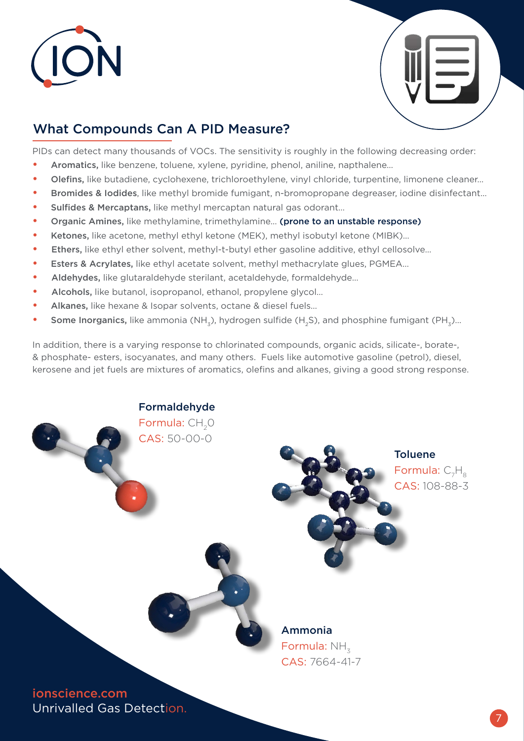



## What Compounds Can A PID Measure?

PIDs can detect many thousands of VOCs. The sensitivity is roughly in the following decreasing order:

- **•** Aromatics, like benzene, toluene, xylene, pyridine, phenol, aniline, napthalene…
- **•** Olefins, like butadiene, cyclohexene, trichloroethylene, vinyl chloride, turpentine, limonene cleaner…
- **•** Bromides & Iodides, like methyl bromide fumigant, n-bromopropane degreaser, iodine disinfectant…
- **•** Sulfides & Mercaptans, like methyl mercaptan natural gas odorant…
- **•** Organic Amines, like methylamine, trimethylamine… (prone to an unstable response)
- **•** Ketones, like acetone, methyl ethyl ketone (MEK), methyl isobutyl ketone (MIBK)…
- Ethers, like ethyl ether solvent, methyl-t-butyl ether gasoline additive, ethyl cellosolve…
- **Esters & Acrylates, like ethyl acetate solvent, methyl methacrylate glues, PGMEA...**
- Aldehydes, like glutaraldehyde sterilant, acetaldehyde, formaldehyde…
- Alcohols, like butanol, isopropanol, ethanol, propylene glycol…
- **•** Alkanes, like hexane & Isopar solvents, octane & diesel fuels…
- **Some Inorganics,** like ammonia (NH<sub>2</sub>), hydrogen sulfide (H<sub>2</sub>S), and phosphine fumigant (PH<sub>2</sub>)...

In addition, there is a varying response to chlorinated compounds, organic acids, silicate-, borate-, & phosphate- esters, isocyanates, and many others. Fuels like automotive gasoline (petrol), diesel, kerosene and jet fuels are mixtures of aromatics, olefins and alkanes, giving a good strong response.

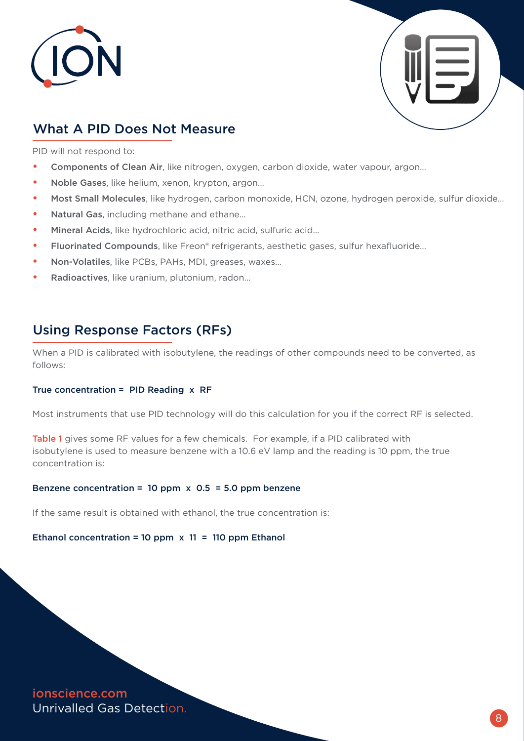



## What A PID Does Not Measure

PID will not respond to:

- **•** Components of Clean Air, like nitrogen, oxygen, carbon dioxide, water vapour, argon…
- **•** Noble Gases, like helium, xenon, krypton, argon…
- **•** Most Small Molecules, like hydrogen, carbon monoxide, HCN, ozone, hydrogen peroxide, sulfur dioxide…
- **•** Natural Gas, including methane and ethane…
- **•** Mineral Acids, like hydrochloric acid, nitric acid, sulfuric acid…
- **•** Fluorinated Compounds, like Freon® refrigerants, aesthetic gases, sulfur hexafluoride…
- **•** Non-Volatiles, like PCBs, PAHs, MDI, greases, waxes…
- **•** Radioactives, like uranium, plutonium, radon…

### Using Response Factors (RFs)

When a PID is calibrated with isobutylene, the readings of other compounds need to be converted, as follows:

#### True concentration =  $PID$  Reading  $x$  RF

Most instruments that use PID technology will do this calculation for you if the correct RF is selected.

Table 1 gives some RF values for a few chemicals. For example, if a PID calibrated with isobutylene is used to measure benzene with a 10.6 eV lamp and the reading is 10 ppm, the true concentration is:

#### Benzene concentration = 10 ppm  $\times$  0.5 = 5.0 ppm benzene

If the same result is obtained with ethanol, the true concentration is:

#### Ethanol concentration = 10 ppm  $\times$  11 = 110 ppm Ethanol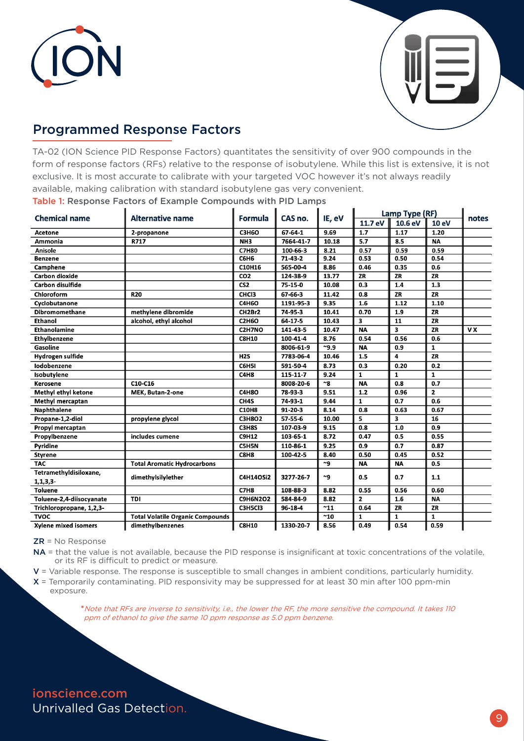



## Programmed Response Factors

TA-02 (ION Science PID Response Factors) quantitates the sensitivity of over 900 compounds in the form of response factors (RFs) relative to the response of isobutylene. While this list is extensive, it is not exclusive. It is most accurate to calibrate with your targeted VOC however it's not always readily available, making calibration with standard isobutylene gas very convenient.

Table 1: Response Factors of Example Compounds with PID Lamps

| <b>Chemical name</b>     | <b>Alternative name</b>                 | Formula          | CAS no.        | IE, eV      | Lamp Type (RF)          |              |              |           |
|--------------------------|-----------------------------------------|------------------|----------------|-------------|-------------------------|--------------|--------------|-----------|
|                          |                                         |                  |                |             | 11.7 eV                 | 10.6 eV      | <b>10 eV</b> | notes     |
| Acetone                  | 2-propanone                             | <b>C3H6O</b>     | $67 - 64 - 1$  | 9.69        | 1.7                     | 1.17         | 1.20         |           |
| <b>Ammonia</b>           | R717                                    | NH <sub>3</sub>  | 7664-41-7      | 10.18       | 5.7                     | 8.5          | <b>NA</b>    |           |
| Anisole                  |                                         | <b>C7H80</b>     | 100-66-3       | 8.21        | 0.57                    | 0.59         | 0.59         |           |
| <b>Benzene</b>           |                                         | <b>C6H6</b>      | $71-43-2$      | 9.24        | 0.53                    | 0.50         | 0.54         |           |
| Camphene                 |                                         | C10H16           | 565-00-4       | 8.86        | 0.46                    | 0.35         | 0.6          |           |
| Carbon dioxide           |                                         | CO <sub>2</sub>  | 124-38-9       | 13.77       | ZR                      | ZR           | ZR           |           |
| <b>Carbon disulfide</b>  |                                         | CS <sub>2</sub>  | 75-15-0        | 10.08       | 0.3                     | 1.4          | 1.3          |           |
| Chloroform               | <b>R20</b>                              | CHC <sub>3</sub> | $67 - 66 - 3$  | 11.42       | 0.8                     | ZR           | ZR           |           |
| Cyclobutanone            |                                         | <b>C4H6O</b>     | 1191-95-3      | 9.35        | 1.6                     | 1.12         | 1.10         |           |
| <b>Dibromomethane</b>    | methylene dibromide                     | CH2Br2           | 74-95-3        | 10.41       | 0.70                    | 1.9          | ZR           |           |
| Ethanol                  | alcohol, ethyl alcohol                  | <b>C2H6O</b>     | 64 17 5        | 10.43       | 3                       | 11           | ZR           |           |
| Ethanolamine             |                                         | C2H7NO           | 141-43-5       | 10.47       | <b>NA</b>               | 3            | ZR           | <b>VX</b> |
| <b>Ethylbenzene</b>      |                                         | <b>C8H10</b>     | $100 - 41 - 4$ | 8.76        | 0.54                    | 0.56         | 0.6          |           |
| Gasoline                 |                                         |                  | 8006-61-9      | $-9.9$      | <b>NA</b>               | 0.9          | $\mathbf{1}$ |           |
| <b>Hydrogen sulfide</b>  |                                         | H2S              | 7783-06-4      | 10.46       | 1.5                     | 4            | ZR           |           |
| lodobenzene              |                                         | C6H5I            | 591-50-4       | 8.73        | 0.3                     | 0.20         | 0.2          |           |
| Isobutylene              |                                         | C4H8             | 115-11-7       | 9.24        | $\mathbf{1}$            | $\mathbf{1}$ | 1            |           |
| <b>Kerosene</b>          | C10-C16                                 |                  | 8008-20-6      | $~^{\sim}8$ | <b>NA</b>               | 0.8          | 0.7          |           |
| Methyl ethyl ketone      | <b>MEK, Butan-2-one</b>                 | C4H8O            | 78-93-3        | 9.51        | 1.2                     | 0.96         | $\mathbf{z}$ |           |
| <b>Methyl mercaptan</b>  |                                         | CH4S             | 74-93-1        | 9.44        | 1                       | 0.7          | 0.6          |           |
| <b>Naphthalene</b>       |                                         | <b>C10H8</b>     | $91 - 20 - 3$  | 8.14        | 0.8                     | 0.63         | 0.67         |           |
| Propane-1,2-diol         | propylene glycol                        | <b>C3H8O2</b>    | 57-55-6        | 10.00       | 5                       | 3            | 16           |           |
| Propyl mercaptan         |                                         | C3H8S            | 107-03-9       | 9.15        | 0.8                     | 1.0          | 0.9          |           |
| Propylbenzene            | includes cumene                         | <b>C9H12</b>     | 103-65-1       | 8.72        | 0.47                    | 0.5          | 0.55         |           |
| Pyridine                 |                                         | C5H5N            | 110-86-1       | 9.25        | 0.9                     | 0.7          | 0.87         |           |
| <b>Styrene</b>           |                                         | C8H8             | 100-42-5       | 8.40        | 0.50                    | 0.45         | 0.52         |           |
| <b>TAC</b>               | <b>Total Aromatic Hydrocarbons</b>      |                  |                | $\sim 9$    | <b>NA</b>               | <b>NA</b>    | 0.5          |           |
| Tetramethyldisiloxane,   | dimethylsilylether                      | <b>C4H14OSi2</b> | 3277-26-7      | ~9          | 0.5                     | 0.7          | $1.1$        |           |
| 1, 1, 3, 3               |                                         |                  |                |             |                         |              |              |           |
| <b>Toluene</b>           |                                         | <b>C7H8</b>      | 108-88-3       | 8.82        | 0.55                    | 0.56         | 0.60         |           |
| Toluene-2,4-diisocyanate | <b>TDI</b>                              | <b>C9H6N2O2</b>  | 584-84-9       | 8.82        | $\overline{\mathbf{z}}$ | 1.6          | <b>NA</b>    |           |
| Trichloropropane, 1,2,3- |                                         | C3H5Cl3          | 96-18-4        | ~11         | 0.64                    | ZR           | ZR           |           |
| <b>TVOC</b>              | <b>Total Volatile Organic Compounds</b> |                  |                | ~10         | 1                       | $\mathbf{1}$ | $\mathbf{1}$ |           |
| Xylene mixed isomers     | dimethylbenzenes                        | <b>C8H10</b>     | 1330-20-7      | 8.56        | 0.49                    | 0.54         | 0.59         |           |

 $ZR = No$  Response

NA = that the value is not available, because the PID response is insignificant at toxic concentrations of the volatile, or its RF is difficult to predict or measure.

V = Variable response. The response is susceptible to small changes in ambient conditions, particularly humidity.

X = Temporarily contaminating. PID responsivity may be suppressed for at least 30 min after 100 ppm-min exposure. ì

> **\***Note that RFs are inverse to sensitivity, i.e., the lower the RF, the more sensitive the compound. It takes 110 ppm of ethanol to give the same 10 ppm response as 5.0 ppm benzene.

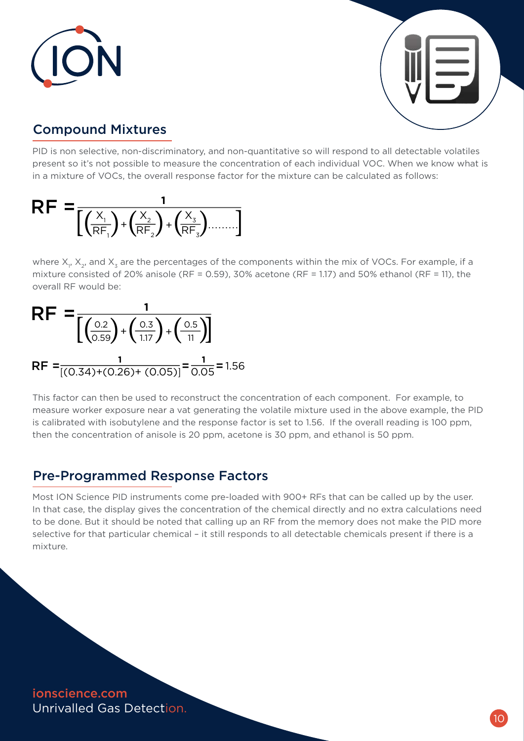



## Compound Mixtures

PID is non selective, non-discriminatory, and non-quantitative so will respond to all detectable volatiles present so it's not possible to measure the concentration of each individual VOC. When we know what is in a mixture of VOCs, the overall response factor for the mixture can be calculated as follows:



where  $\mathsf{X}_{_{\mathsf{I}}},$   $\mathsf{X}_{_{\mathsf{2}}}$ , and  $\mathsf{X}_{_{\mathsf{3}}}$  are the percentages of the components within the mix of VOCs. For example, if a mixture consisted of 20% anisole (RF = 0.59), 30% acetone (RF = 1.17) and 50% ethanol (RF = 11), the overall RF would be:

$$
RF = \frac{1}{\left[\left(\frac{0.2}{0.59}\right) + \left(\frac{0.3}{1.17}\right) + \left(\frac{0.5}{11}\right)\right]}
$$
  
RF =  $\frac{1}{\left[(0.34) + (0.26) + (0.05)\right]} = \frac{1}{0.05} = 1.56$ 

This factor can then be used to reconstruct the concentration of each component. For example, to measure worker exposure near a vat generating the volatile mixture used in the above example, the PID is calibrated with isobutylene and the response factor is set to 1.56. If the overall reading is 100 ppm, then the concentration of anisole is 20 ppm, acetone is 30 ppm, and ethanol is 50 ppm.

## Pre-Programmed Response Factors

Most ION Science PID instruments come pre-loaded with 900+ RFs that can be called up by the user. In that case, the display gives the concentration of the chemical directly and no extra calculations need to be done. But it should be noted that calling up an RF from the memory does not make the PID more selective for that particular chemical – it still responds to all detectable chemicals present if there is a mixture.